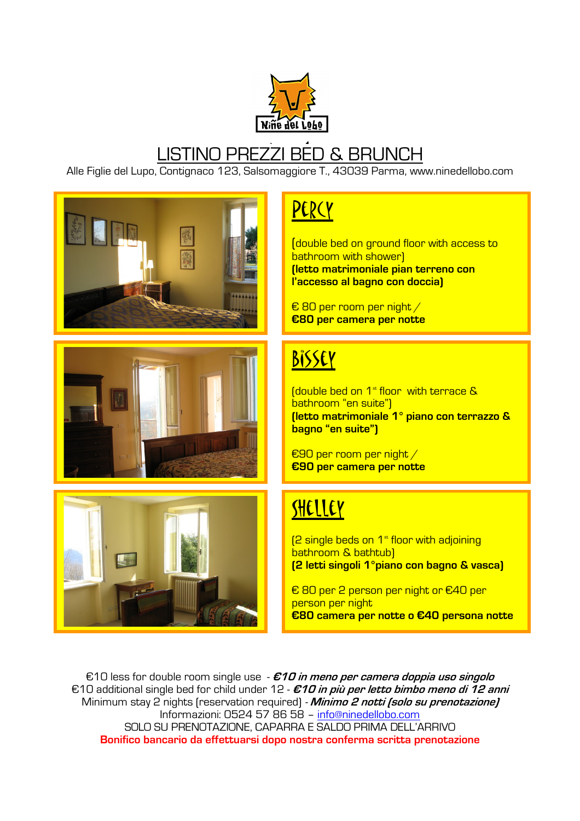

# LISTINO PREZZI BED & BRUNCH

Alle Figlie del Lupo, Contignaco 123, Salsomaggiore T., 43039 Parma, www.ninedellobo.com



### PERCY

(double bed on ground floor with access to bathroom with shower) (letto matrimoniale pian terreno con l'accesso al bagno con doccia)

€ 80 per room per night / €80 per camera per notte

## Bissey

(double bed on  $1^*$  floor with terrace  $\&$ bathroom "en suite") (letto matrimoniale 1° piano con terrazzo & bagno "en suite")

€90 per room per night / €90 per camera per notte

# **SHELLEY**

 $[2]$  single beds on 1<sup>st</sup> floor with adjoining bathroom & bathtub) (2 letti singoli 1°piano con bagno & vasca)

€ 80 per 2 person per night or €40 per person per night €80 camera per notte o €40 persona notte

€10 less for double room single use  $-$  €10 in meno per camera doppia uso singolo €10 additional single bed for child under 12 -  $E10$  in più per letto bimbo meno di 12 anni Minimum stay 2 nights (reservation required) - Minimo 2 notti (solo su prenotazione) Informazioni: 0524 57 86 58 – info@ninedellobo.com SOLO SU PRENOTAZIONE, CAPARRA E SALDO PRIMA DELL'ARRIVO Bonifico bancario da effettuarsi dopo nostra conferma scritta prenotazione